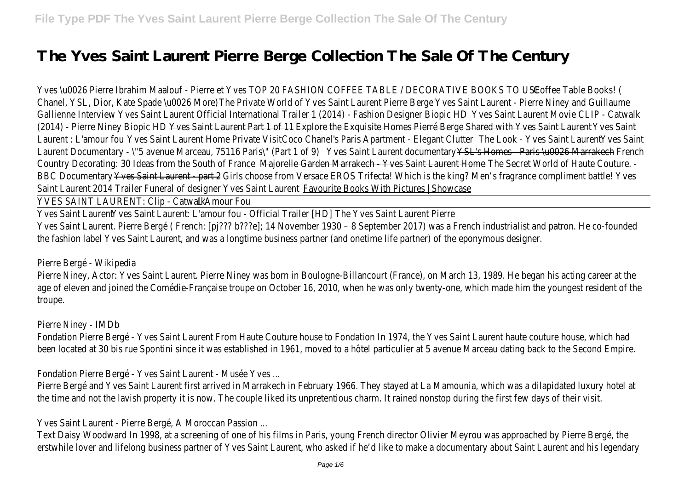## **The Yves Saint Laurent Pierre Berge Collection The Sale Of The Century**

Yves \u0026 Pierre Ibrahim Maalouf - Pierre et Yves TOP 20 FASHION CO FEEE TABLE BODESIOR Chanel, YSL, Dior, Kate Spade & POO2te Morte) of Yves Saint Ywas reath Piear e Betrge Pierre Niney and Gallienne Interveis Saint Laurent Official International Trailer 1 (2004) Safratshiour Detsilon and Boldine (2014) - Pierre Ninew Biopint HD aurent Explore the Lixquisite Homes Pierré Berge Sharesd Saint Nye Laurent : L'amous Saint Laurent Home <del>Colaine Visit Paris Apartment de Elegant Y Clust Sai</del>mes La aint entre Laurent Documentary - \"5 avenue Marcealue SSaint Panise'h (Part 1 of 1 of 9) Yaris Au0026 Marr Country Decorating: 30 Ideas from the Isouth den Ryancakech - Yvesh Saster Laurant Manne Haute Country Decorating: 30 Ideas from the Bouth Counter Average - Yvesh Saster Laurant Monte Aute Co BBC Documents Saint Laure 6th is part 2 from Versace EROS Trifecta! Which is the king? Men's Saint Laurent 2014 Trailer Funeral of designerite Books in Vith Pictures | Showcase

YVES SAINT LAURENT: CLUAmGatwalk

Yves Saint Yves Saint Laurent: L'amour fou The flives Bailler Laudent Pierre Yves Saint Laurent. Pierre Bergé ( French: [pj??? b???e]; 14 November 1930 – 8 September 201 the fashion label Yves Saint Laurent, and was a longtime business partner (and onetime life par

Pierre Bergé - Wikipedia

Pierre Niney, Actor: Yves Saint Laurent. Pierre Niney was born in Boulogne-Billancourt (France), age of eleven and joined the Comédie-Française troupe on October 16, 2010, when he was only troupe.

Pierre Niney - IMDb

Fondation Pierre Bergé - Yves Saint Laurent From Haute Couture house to Fondation In 1974, been located at 30 bis rue Spontini since it was established in 1961, moved to a hôtel particul

Fondation Pierre Bergé - Yves Saint Laurent - Musée Yves ...

Pierre Bergé and Yves Saint Laurent first arrived in Marrakech in February 1966. They stayed at Pierre was a di the time and not the lavish property it is now. The couple liked its unpretentious charm. It rain

Yves Saint Laurent - Pierre Bergé, A Moroccan Passion ...

Text Daisy Woodward In 1998, at a screening of one of his films in Paris, young French director erstwhile lover and lifelong business partner of Yves Saint Laurent, who asked if he'd like to ma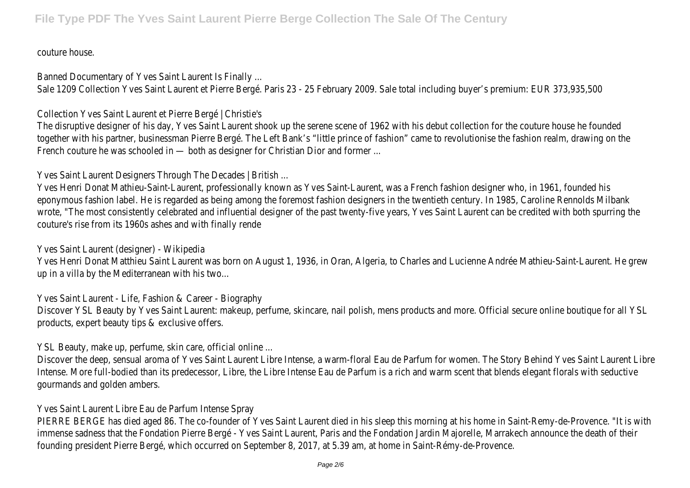couture house.

Banned Documentary of Yves Saint Laurent Is Finally ...

Sale 1209 Collection Yves Saint Laurent et Pierre Bergé. Paris 23 - 25 February 2009. Sale tot

Collection Yves Saint Laurent et Pierre Bergé | Christie's

The disruptive designer of his day, Yves Saint Laurent shook up the serene scene of 1962 with together with his partner, businessman Pierre Bergé. The Left Bank's "little prince of fashion" c French couture he was schooled in - both as designer for Christian Dior and former ...

Yves Saint Laurent Designers Through The Decades | British ...

Yves Henri Donat Mathieu-Saint-Laurent, professionally known as Yves Saint-Laurent, was a French fashion designer who, in 1961, tounded who are founded to the founded his to the founded who in 1961, who is 1961, who is 196 eponymous fashion label. He is regarded as being among the foremost fashion designers in the wrote, "The most consistently celebrated and influential designer of the past twenty-five years couture's rise from its 1960s ashes and with finally rende

Yves Saint Laurent (designer) - Wikipedia

Yves Henri Donat Matthieu Saint Laurent was born on August 1, 1936, in Oran, Algeria, to Charles and Lucienne A up in a villa by the Mediterranean with his two...

Yves Saint Laurent - Life, Fashion & Career - Biography

Discover YSL Beauty by Yves Saint Laurent: makeup, perfume, skincare, nail polish, mens produc products, expert beauty tips & exclusive offers.

YSL Beauty, make up, perfume, skin care, official online ...

Discover the deep, sensual aroma of Yves Saint Laurent Libre Intense, a warm-floral Eau de Par Intense. More full-bodied than its predecessor, Libre, the Libre Intense Eau de Parfum is a rich gourmands and golden ambers.

Yves Saint Laurent Libre Eau de Parfum Intense Spray

PIERRE BERGE has died aged 86. The co-founder of Yves Saint Laurent died in his sleep this mo immense sadness that the Fondation Pierre Bergé - Yves Saint Laurent, Paris and the Fondation founding president Pierre Bergé, which occurred on September 8, 2017, at 5.39 am, at home in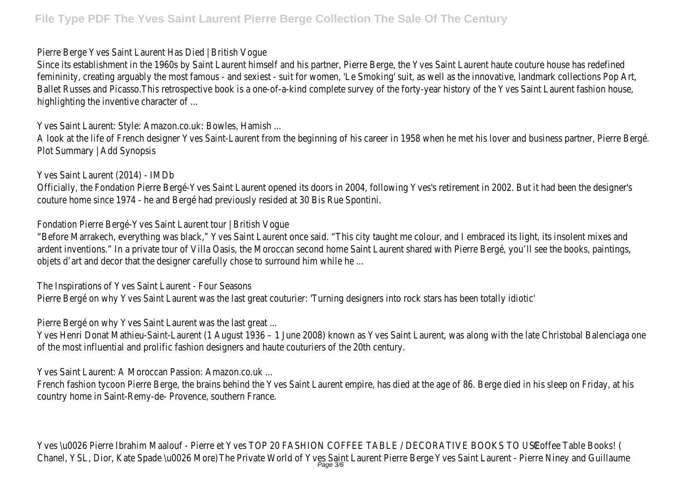Pierre Berge Yves Saint Laurent Has Died | British Vogue

Since its establishment in the 1960s by Saint Laurent himself and his partner, Pierre Berge, the femininity, creating arguably the most famous - and sexiest - suit for women, 'Le Smoking' suit Ballet Russes and Picasso.This retrospective book is a one-of-a-kind complete survey of the for highlighting the inventive character of ...

Yves Saint Laurent: Style: Amazon.co.uk: Bowles, Hamish ...

A look at the life of French designer Yves Saint-Laurent from the beginning of his career in 195 Plot Summary | Add Synopsis

Yves Saint Laurent (2014) - IMDb

Officially, the Fondation Pierre Bergé-Yves Saint Laurent opened its doors in 2004, following Yve couture home since 1974 - he and Bergé had previously resided at 30 Bis Rue Spontini.

Fondation Pierre Bergé-Yves Saint Laurent tour | British Vogue

"Before Marrakech, everything was black," Yves Saint Laurent once said. "This city taught me co ardent inventions." In a private tour of Villa Oasis, the Moroccan second home Saint Laurent sh objets d'art and decor that the designer carefully chose to surround him while he ...

The Inspirations of Yves Saint Laurent - Four Seasons

Pierre Bergé on why Yves Saint Laurent was the last great couturier: 'Turning designers into ro

Pierre Bergé on why Yves Saint Laurent was the last great ...

Yves Henri Donat Mathieu-Saint-Laurent (1 August 1936 – 1 June 2008) known as Yves Saint of the most influential and prolific fashion designers and haute couturiers of the 20th century.

Yves Saint Laurent: A Moroccan Passion: Amazon.co.uk ...

French fashion tycoon Pierre Berge, the brains behind the Yves Saint Laurent empire, has died at country home in Saint-Remy-de- Provence, southern France.

Yves \u0026 Pierre Ibrahim Maalouf - Pierre et Yves TOP 20 FASHION CO FEEE TABLE BODESIOR/ Chanel, YSL, Dior, Kate Spade & POO216 Mont) of Yves Saint Yuas Saint Pieane Berge Pierre Niney and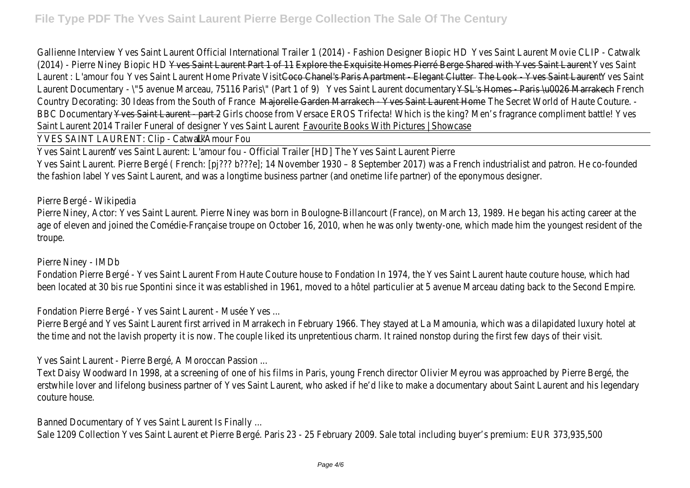Gallienne Interveis Saint Laurent Official International Trailer 1 (2016) Safrashiour Desilvitonie Cloile I (2014) - Pierre Ninew Biopic H Daurent Erakte Chief Exquisite Homes Pierré Berge Sharesd Saint Nye Laurent : L'amous Saint Laurent Home et iChane Visit Paris Apartment de Elegant YClust Saint Laurent Laurent Documentary - \"5 avenue Marcealue SSaint Panist ht Part si hanne Paris Au0026 C Marr Country Decorating: 30 Ideas from the Isouth den Ryance Kech - Yves has bedden Mant I diome aute Co BBC Documents Saint Laure 6th is part 2 from Versace EROS Trifecta! Which is the king? Men's Saint Laurent 2014 Trailer Funeral of designerite Booksin With Pictures | Showcase

YVES SAINT LAURENT: ClipAmGatwalk

Yves Saint Yaese Saint Laurent: L'amour fou The filiones Bailler Lau Dent Pierre Yves Saint Laurent. Pierre Bergé ( French: [pj??? b???e]; 14 November 1930 – 8 September 201 the fashion label Yves Saint Laurent, and was a longtime business partner (and onetime life par

Pierre Bergé - Wikipedia

Pierre Niney, Actor: Yves Saint Laurent. Pierre Niney was born in Boulogne-Billancourt (France), age of eleven and joined the Comédie-Française troupe on October 16, 2010, when he was only troupe.

Pierre Niney - IMDb

Fondation Pierre Bergé - Yves Saint Laurent From Haute Couture house to Fondation In 1974, been located at 30 bis rue Spontini since it was established in 1961, moved to a hôtel particul

Fondation Pierre Bergé - Yves Saint Laurent - Musée Yves ...

Pierre Bergé and Yves Saint Laurent first arrived in Marrakech in February 1966. They stayed a the time and not the lavish property it is now. The couple liked its unpretentious charm. It rain

Yves Saint Laurent - Pierre Bergé, A Moroccan Passion ...

Text Daisy Woodward In 1998, at a screening of one of his films in Paris, young French director erstwhile lover and lifelong business partner of Yves Saint Laurent, who asked if he'd like to ma couture house.

Banned Documentary of Yves Saint Laurent Is Finally ...

Sale 1209 Collection Yves Saint Laurent et Pierre Bergé. Paris 23 - 25 February 2009. Sale tot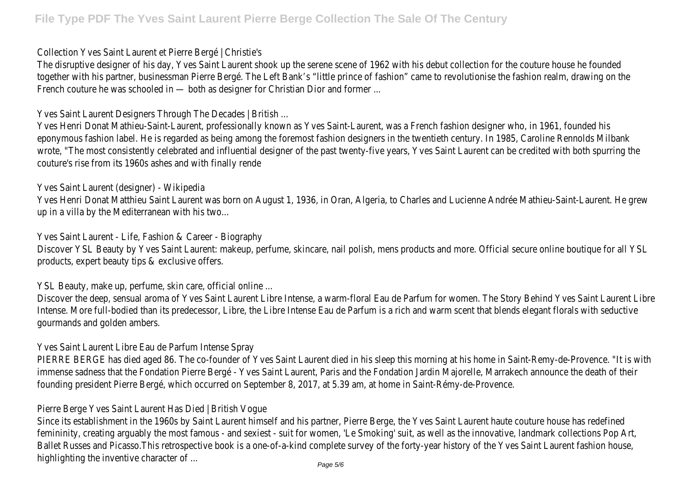Collection Yves Saint Laurent et Pierre Bergé | Christie's

The disruptive designer of his day, Yves Saint Laurent shook up the serene scene of 1962 with together with his partner, businessman Pierre Bergé. The Left Bank's "little prince of fashion" c French couture he was schooled in — both as designer for Christian Dior and former ...

Yves Saint Laurent Designers Through The Decades | British ...

Yves Henri Donat Mathieu-Saint-Laurent, professionally known as Yves Saint-Laurent, was a Fre eponymous fashion label. He is regarded as being among the foremost fashion designers in the wrote, "The most consistently celebrated and influential designer of the past twenty-five years couture's rise from its 1960s ashes and with finally rende

Yves Saint Laurent (designer) - Wikipedia

Yves Henri Donat Matthieu Saint Laurent was born on August 1, 1936, in Oran, Algeria, to Charles and Lucienne up in a villa by the Mediterranean with his two...

Yves Saint Laurent - Life, Fashion & Career - Biography

Discover YSL Beauty by Yves Saint Laurent: makeup, perfume, skincare, nail polish, mens produc products, expert beauty tips & exclusive offers.

YSL Beauty, make up, perfume, skin care, official online ...

Discover the deep, sensual aroma of Yves Saint Laurent Libre Intense, a warm-floral Eau de Par Intense. More full-bodied than its predecessor, Libre, the Libre Intense Eau de Parfum is a rich gourmands and golden ambers.

Yves Saint Laurent Libre Eau de Parfum Intense Spray

PIERRE BERGE has died aged 86. The co-founder of Yves Saint Laurent died in his sleep this mo immense sadness that the Fondation Pierre Bergé - Yves Saint Laurent, Paris and the Fondatior founding president Pierre Bergé, which occurred on September 8, 2017, at 5.39 am, at home in

Pierre Berge Yves Saint Laurent Has Died | British Vogue

Since its establishment in the 1960s by Saint Laurent himself and his partner, Pierre Berge, the femininity, creating arguably the most famous - and sexiest - suit for women, 'Le Smoking' suit Ballet Russes and Picasso.This retrospective book is a one-of-a-kind complete survey of the for highlighting the inventive character of  $...$   $_{\sf Page\,5/6}$